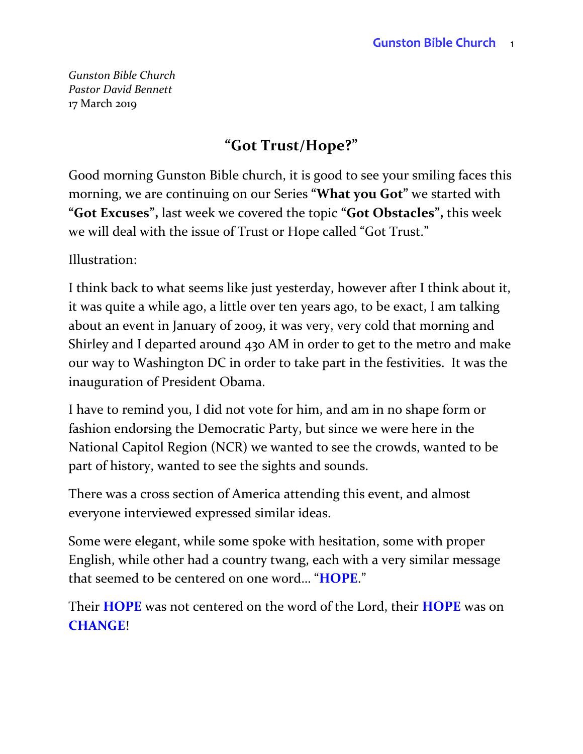*Gunston Bible Church Pastor David Bennett* 17 March 2019

### **"Got Trust/Hope?"**

Good morning Gunston Bible church, it is good to see your smiling faces this morning, we are continuing on our Series **"What you Got"** we started with **"Got Excuses",** last week we covered the topic **"Got Obstacles",** this week we will deal with the issue of Trust or Hope called "Got Trust."

Illustration:

I think back to what seems like just yesterday, however after I think about it, it was quite a while ago, a little over ten years ago, to be exact, I am talking about an event in January of 2009, it was very, very cold that morning and Shirley and I departed around 430 AM in order to get to the metro and make our way to Washington DC in order to take part in the festivities. It was the inauguration of President Obama.

I have to remind you, I did not vote for him, and am in no shape form or fashion endorsing the Democratic Party, but since we were here in the National Capitol Region (NCR) we wanted to see the crowds, wanted to be part of history, wanted to see the sights and sounds.

There was a cross section of America attending this event, and almost everyone interviewed expressed similar ideas.

Some were elegant, while some spoke with hesitation, some with proper English, while other had a country twang, each with a very similar message that seemed to be centered on one word… "**HOPE**."

Their **HOPE** was not centered on the word of the Lord, their **HOPE** was on **CHANGE**!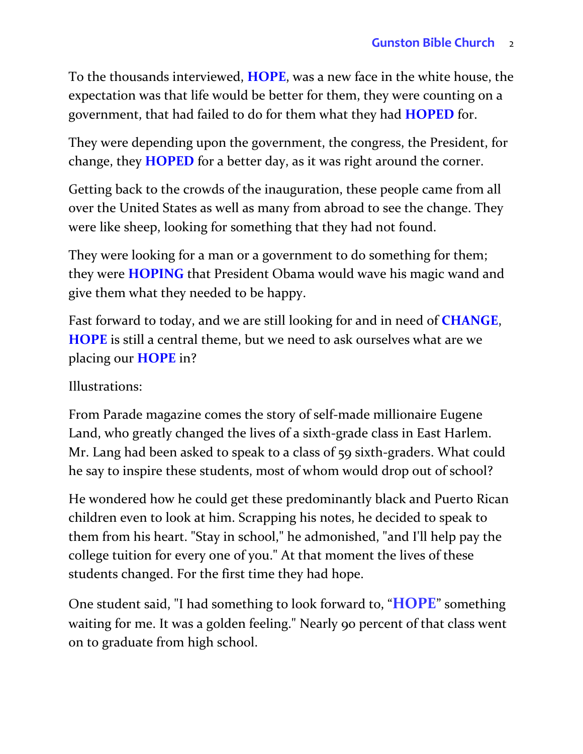To the thousands interviewed, **HOPE**, was a new face in the white house, the expectation was that life would be better for them, they were counting on a government, that had failed to do for them what they had **HOPED** for.

They were depending upon the government, the congress, the President, for change, they **HOPED** for a better day, as it was right around the corner.

Getting back to the crowds of the inauguration, these people came from all over the United States as well as many from abroad to see the change. They were like sheep, looking for something that they had not found.

They were looking for a man or a government to do something for them; they were **HOPING** that President Obama would wave his magic wand and give them what they needed to be happy.

Fast forward to today, and we are still looking for and in need of **CHANGE**, **HOPE** is still a central theme, but we need to ask ourselves what are we placing our **HOPE** in?

Illustrations:

From Parade magazine comes the story of self-made millionaire Eugene Land, who greatly changed the lives of a sixth-grade class in East Harlem. Mr. Lang had been asked to speak to a class of 59 sixth-graders. What could he say to inspire these students, most of whom would drop out of school?

He wondered how he could get these predominantly black and Puerto Rican children even to look at him. Scrapping his notes, he decided to speak to them from his heart. "Stay in school," he admonished, "and I'll help pay the college tuition for every one of you." At that moment the lives of these students changed. For the first time they had hope.

One student said, "I had something to look forward to, "**HOPE**" something waiting for me. It was a golden feeling." Nearly 90 percent of that class went on to graduate from high school.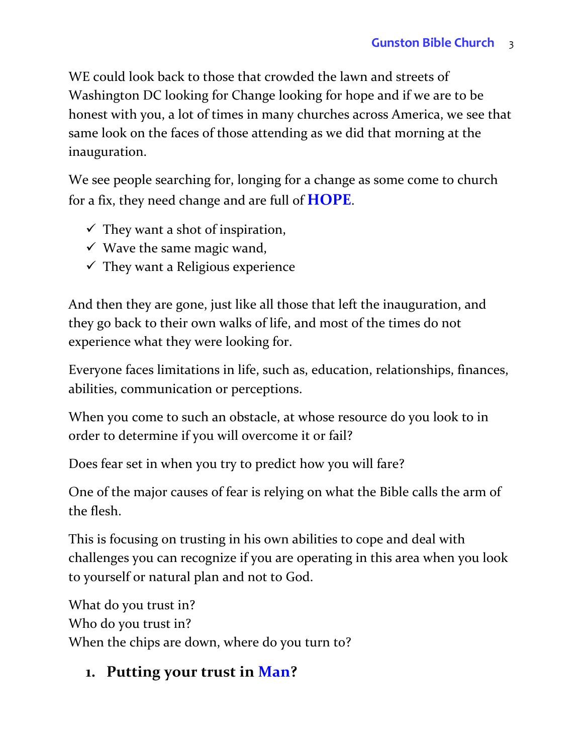WE could look back to those that crowded the lawn and streets of Washington DC looking for Change looking for hope and if we are to be honest with you, a lot of times in many churches across America, we see that same look on the faces of those attending as we did that morning at the inauguration.

We see people searching for, longing for a change as some come to church for a fix, they need change and are full of **HOPE**.

- $\checkmark$  They want a shot of inspiration,
- $\checkmark$  Wave the same magic wand,
- $\checkmark$  They want a Religious experience

And then they are gone, just like all those that left the inauguration, and they go back to their own walks of life, and most of the times do not experience what they were looking for.

Everyone faces limitations in life, such as, education, relationships, finances, abilities, communication or perceptions.

When you come to such an obstacle, at whose resource do you look to in order to determine if you will overcome it or fail?

Does fear set in when you try to predict how you will fare?

One of the major causes of fear is relying on what the Bible calls the arm of the flesh.

This is focusing on trusting in his own abilities to cope and deal with challenges you can recognize if you are operating in this area when you look to yourself or natural plan and not to God.

What do you trust in? Who do you trust in? When the chips are down, where do you turn to?

### **1. Putting your trust in Man?**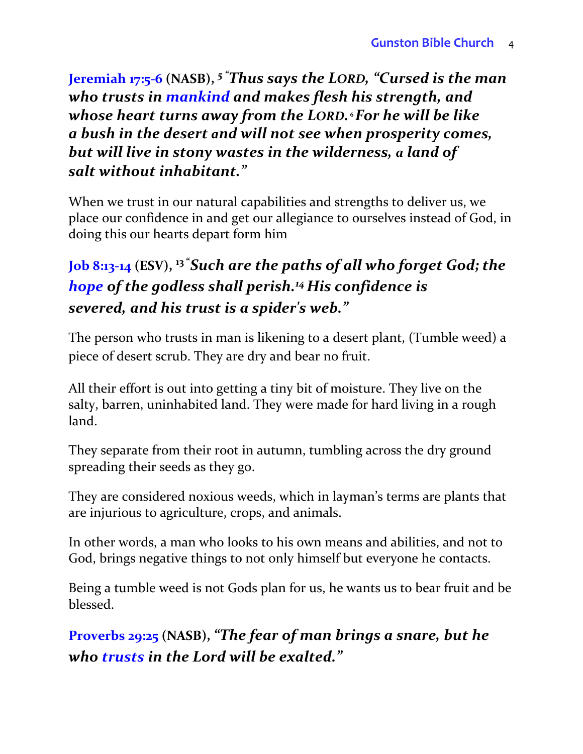**Jeremiah 17:5-6 (NASB),** *<sup>5</sup> "Thus says the LORD, "Cursed is the man who trusts in mankind and makes flesh his strength, and whose heart turns away from the LORD.* **<sup>6</sup>***For he will be like a bush in the desert and will not see when prosperity comes, but will live in stony wastes in the wilderness, a land of salt without inhabitant."*

When we trust in our natural capabilities and strengths to deliver us, we place our confidence in and get our allegiance to ourselves instead of God, in doing this our hearts depart form him

## **Job 8:13-14 (ESV), <sup>13</sup> "***Such are the paths of all who forget God; the hope of the godless shall perish.<sup>14</sup> His confidence is severed, and his trust is a spider's web."*

The person who trusts in man is likening to a desert plant, (Tumble weed) a piece of desert scrub. They are dry and bear no fruit.

All their effort is out into getting a tiny bit of moisture. They live on the salty, barren, uninhabited land. They were made for hard living in a rough land.

They separate from their root in autumn, tumbling across the dry ground spreading their seeds as they go.

They are considered noxious weeds, which in layman's terms are plants that are injurious to agriculture, crops, and animals.

In other words, a man who looks to his own means and abilities, and not to God, brings negative things to not only himself but everyone he contacts.

Being a tumble weed is not Gods plan for us, he wants us to bear fruit and be blessed.

**Proverbs 29:25 (NASB),** *"The fear of man brings a snare, but he who trusts in the Lord will be exalted."*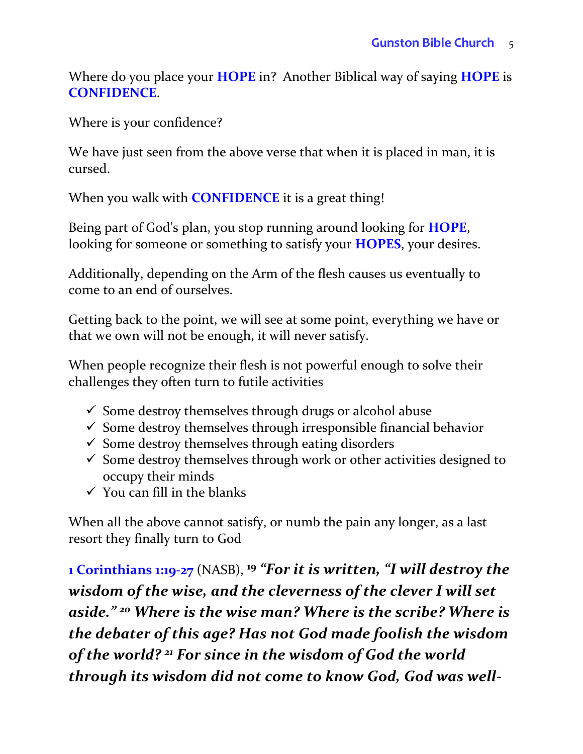Where do you place your **HOPE** in? Another Biblical way of saying **HOPE** is **CONFIDENCE**.

Where is your confidence?

We have just seen from the above verse that when it is placed in man, it is cursed.

When you walk with **CONFIDENCE** it is a great thing!

Being part of God's plan, you stop running around looking for **HOPE**, looking for someone or something to satisfy your **HOPES**, your desires.

Additionally, depending on the Arm of the flesh causes us eventually to come to an end of ourselves.

Getting back to the point, we will see at some point, everything we have or that we own will not be enough, it will never satisfy.

When people recognize their flesh is not powerful enough to solve their challenges they often turn to futile activities

- $\checkmark$  Some destroy themselves through drugs or alcohol abuse
- $\checkmark$  Some destroy themselves through irresponsible financial behavior
- $\checkmark$  Some destroy themselves through eating disorders
- $\checkmark$  Some destroy themselves through work or other activities designed to occupy their minds
- $\checkmark$  You can fill in the blanks

When all the above cannot satisfy, or numb the pain any longer, as a last resort they finally turn to God

**1 Corinthians 1:19-27** (NASB), **<sup>19</sup>** *"For it is written, "I will destroy the wisdom of the wise, and the cleverness of the clever I will set aside." <sup>20</sup> Where is the wise man? Where is the scribe? Where is the debater of this age? Has not God made foolish the wisdom of the world? <sup>21</sup> For since in the wisdom of God the world through its wisdom did not come to know God, God was well-*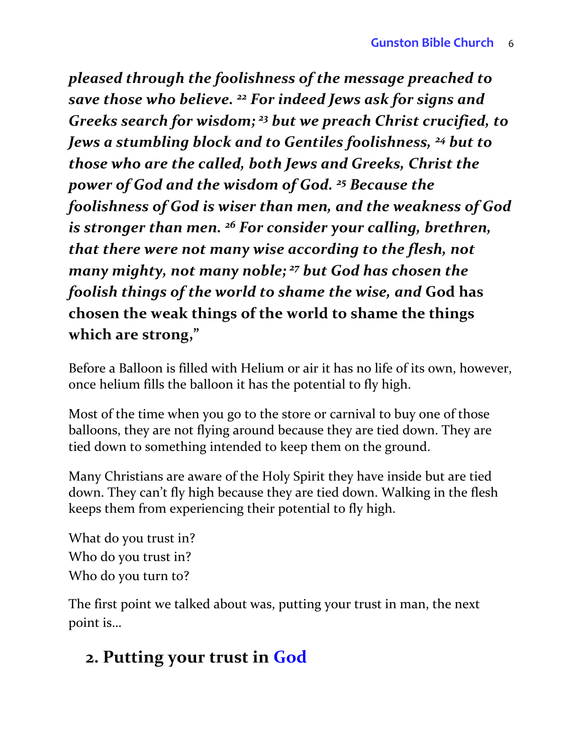*pleased through the foolishness of the message preached to save those who believe. <sup>22</sup> For indeed Jews ask for signs and Greeks search for wisdom; <sup>23</sup> but we preach Christ crucified, to Jews a stumbling block and to Gentiles foolishness, <sup>24</sup> but to those who are the called, both Jews and Greeks, Christ the power of God and the wisdom of God. <sup>25</sup> Because the foolishness of God is wiser than men, and the weakness of God is stronger than men. <sup>26</sup> For consider your calling, brethren, that there were not many wise according to the flesh, not many mighty, not many noble; <sup>27</sup> but God has chosen the foolish things of the world to shame the wise, and* **God has chosen the weak things of the world to shame the things which are strong,"** 

Before a Balloon is filled with Helium or air it has no life of its own, however, once helium fills the balloon it has the potential to fly high.

Most of the time when you go to the store or carnival to buy one of those balloons, they are not flying around because they are tied down. They are tied down to something intended to keep them on the ground.

Many Christians are aware of the Holy Spirit they have inside but are tied down. They can't fly high because they are tied down. Walking in the flesh keeps them from experiencing their potential to fly high.

What do you trust in? Who do you trust in? Who do you turn to?

The first point we talked about was, putting your trust in man, the next point is…

# **2. Putting your trust in God**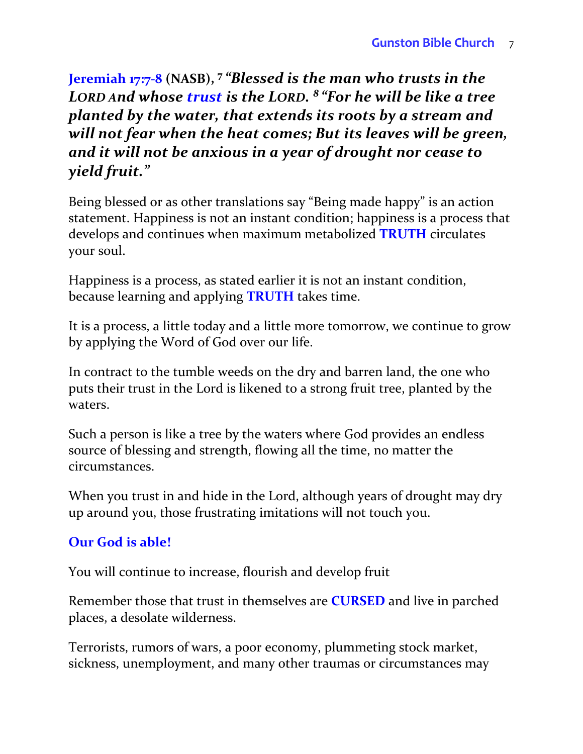**Jeremiah 17:7-8 (NASB), <sup>7</sup>** *"Blessed is the man who trusts in the LORD And whose trust is the LORD. 8 "For he will be like a tree planted by the water, that extends its roots by a stream and will not fear when the heat comes; But its leaves will be green, and it will not be anxious in a year of drought nor cease to yield fruit."* 

Being blessed or as other translations say "Being made happy" is an action statement. Happiness is not an instant condition; happiness is a process that develops and continues when maximum metabolized **TRUTH** circulates your soul.

Happiness is a process, as stated earlier it is not an instant condition, because learning and applying **TRUTH** takes time.

It is a process, a little today and a little more tomorrow, we continue to grow by applying the Word of God over our life.

In contract to the tumble weeds on the dry and barren land, the one who puts their trust in the Lord is likened to a strong fruit tree, planted by the waters.

Such a person is like a tree by the waters where God provides an endless source of blessing and strength, flowing all the time, no matter the circumstances.

When you trust in and hide in the Lord, although years of drought may dry up around you, those frustrating imitations will not touch you.

#### **Our God is able!**

You will continue to increase, flourish and develop fruit

Remember those that trust in themselves are **CURSED** and live in parched places, a desolate wilderness.

Terrorists, rumors of wars, a poor economy, plummeting stock market, sickness, unemployment, and many other traumas or circumstances may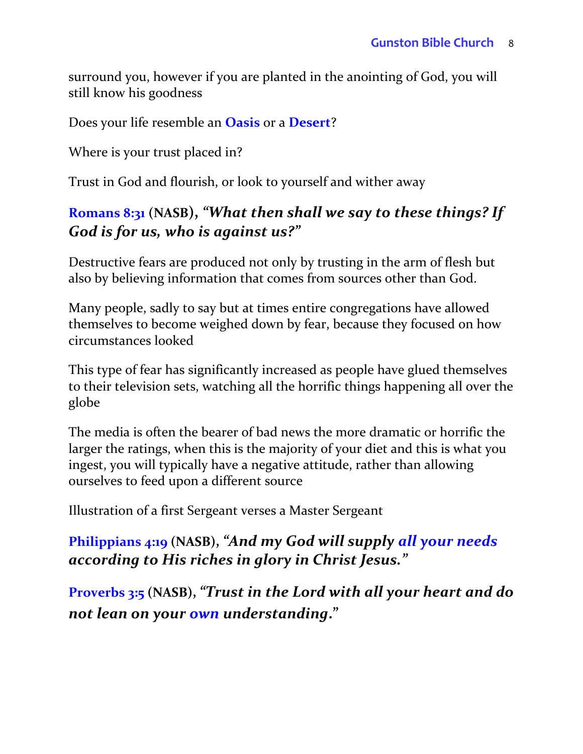surround you, however if you are planted in the anointing of God, you will still know his goodness

Does your life resemble an **Oasis** or a **Desert**?

Where is your trust placed in?

Trust in God and flourish, or look to yourself and wither away

#### **Romans 8:31 (NASB),** *"What then shall we say to these things? If God is for us, who is against us?"*

Destructive fears are produced not only by trusting in the arm of flesh but also by believing information that comes from sources other than God.

Many people, sadly to say but at times entire congregations have allowed themselves to become weighed down by fear, because they focused on how circumstances looked

This type of fear has significantly increased as people have glued themselves to their television sets, watching all the horrific things happening all over the globe

The media is often the bearer of bad news the more dramatic or horrific the larger the ratings, when this is the majority of your diet and this is what you ingest, you will typically have a negative attitude, rather than allowing ourselves to feed upon a different source

Illustration of a first Sergeant verses a Master Sergeant

**Philippians 4:19 (NASB),** *"And my God will supply all your needs according to His riches in glory in Christ Jesus."*

**Proverbs 3:5 (NASB),** *"Trust in the Lord with all your heart and do not lean on your own understanding***."**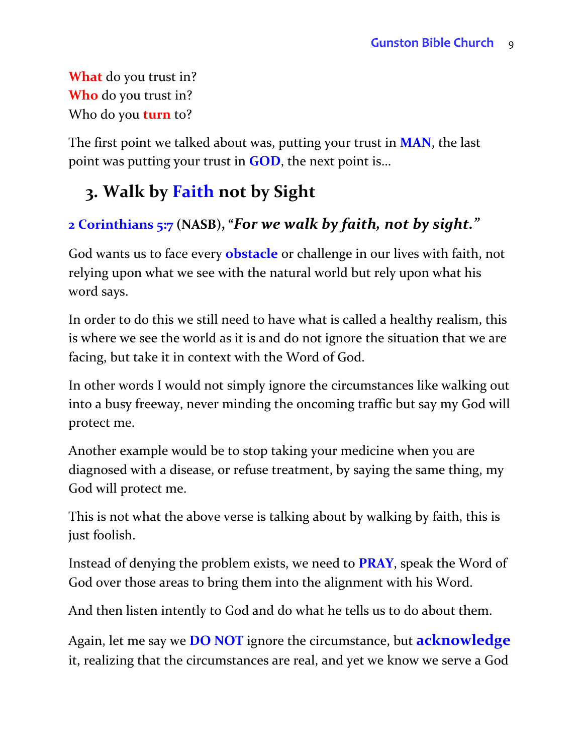**What** do you trust in? **Who** do you trust in? Who do you **turn** to?

The first point we talked about was, putting your trust in **MAN**, the last point was putting your trust in **GOD**, the next point is…

# **3. Walk by Faith not by Sight**

### **2 Corinthians 5:7 (NASB), "***For we walk by faith, not by sight."*

God wants us to face every **obstacle** or challenge in our lives with faith, not relying upon what we see with the natural world but rely upon what his word says.

In order to do this we still need to have what is called a healthy realism, this is where we see the world as it is and do not ignore the situation that we are facing, but take it in context with the Word of God.

In other words I would not simply ignore the circumstances like walking out into a busy freeway, never minding the oncoming traffic but say my God will protect me.

Another example would be to stop taking your medicine when you are diagnosed with a disease, or refuse treatment, by saying the same thing, my God will protect me.

This is not what the above verse is talking about by walking by faith, this is just foolish.

Instead of denying the problem exists, we need to **PRAY**, speak the Word of God over those areas to bring them into the alignment with his Word.

And then listen intently to God and do what he tells us to do about them.

Again, let me say we **DO NOT** ignore the circumstance, but **acknowledge** it, realizing that the circumstances are real, and yet we know we serve a God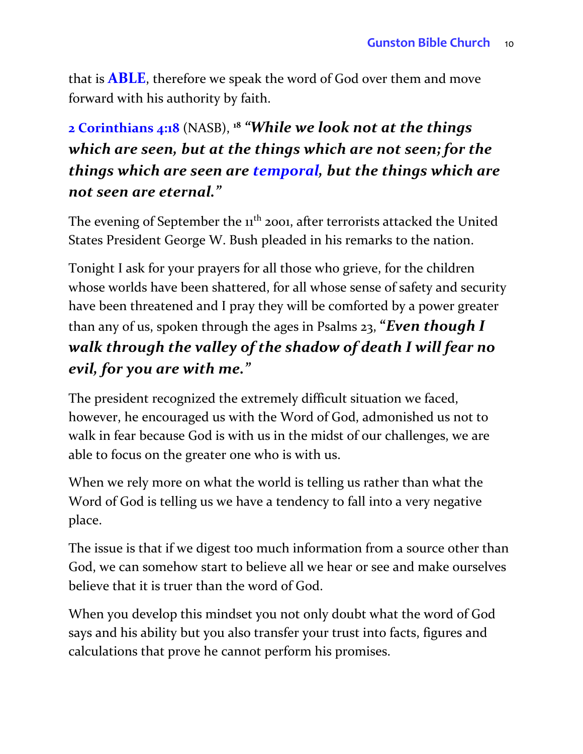that is **ABLE**, therefore we speak the word of God over them and move forward with his authority by faith.

## **2 Corinthians 4:18** (NASB), **<sup>18</sup>** *"While we look not at the things which are seen, but at the things which are not seen; for the things which are seen are temporal, but the things which are not seen are eternal."*

The evening of September the 11<sup>th</sup> 2001, after terrorists attacked the United States President George W. Bush pleaded in his remarks to the nation.

Tonight I ask for your prayers for all those who grieve, for the children whose worlds have been shattered, for all whose sense of safety and security have been threatened and I pray they will be comforted by a power greater than any of us, spoken through the ages in Psalms 23, **"***Even though I walk through the valley of the shadow of death I will fear no evil, for you are with me."*

The president recognized the extremely difficult situation we faced, however, he encouraged us with the Word of God, admonished us not to walk in fear because God is with us in the midst of our challenges, we are able to focus on the greater one who is with us.

When we rely more on what the world is telling us rather than what the Word of God is telling us we have a tendency to fall into a very negative place.

The issue is that if we digest too much information from a source other than God, we can somehow start to believe all we hear or see and make ourselves believe that it is truer than the word of God.

When you develop this mindset you not only doubt what the word of God says and his ability but you also transfer your trust into facts, figures and calculations that prove he cannot perform his promises.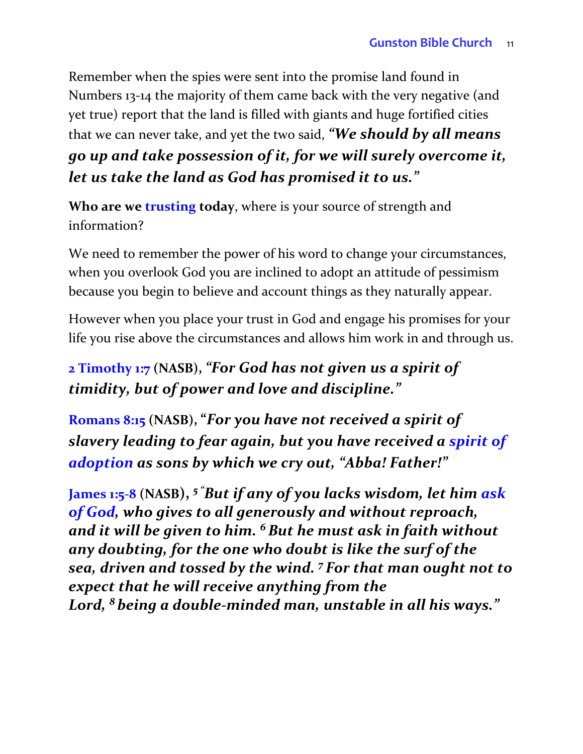Remember when the spies were sent into the promise land found in Numbers 13-14 the majority of them came back with the very negative (and yet true) report that the land is filled with giants and huge fortified cities that we can never take, and yet the two said, *"We should by all means go up and take possession of it, for we will surely overcome it, let us take the land as God has promised it to us."* 

**Who are we trusting today**, where is your source of strength and information?

We need to remember the power of his word to change your circumstances, when you overlook God you are inclined to adopt an attitude of pessimism because you begin to believe and account things as they naturally appear.

However when you place your trust in God and engage his promises for your life you rise above the circumstances and allows him work in and through us.

### **2 Timothy 1:7 (NASB),** *"For God has not given us a spirit of timidity, but of power and love and discipline."*

**Romans 8:15 (NASB), "***For you have not received a spirit of slavery leading to fear again, but you have received a spirit of adoption as sons by which we cry out, "Abba! Father!"*

**James 1:5-8 (NASB),** *<sup>5</sup> "But if any of you lacks wisdom, let him ask of God, who gives to all generously and without reproach, and it will be given to him. <sup>6</sup>But he must ask in faith without any doubting, for the one who doubt is like the surf of the sea, driven and tossed by the wind. <sup>7</sup> For that man ought not to expect that he will receive anything from the Lord, <sup>8</sup> being a double-minded man, unstable in all his ways."*